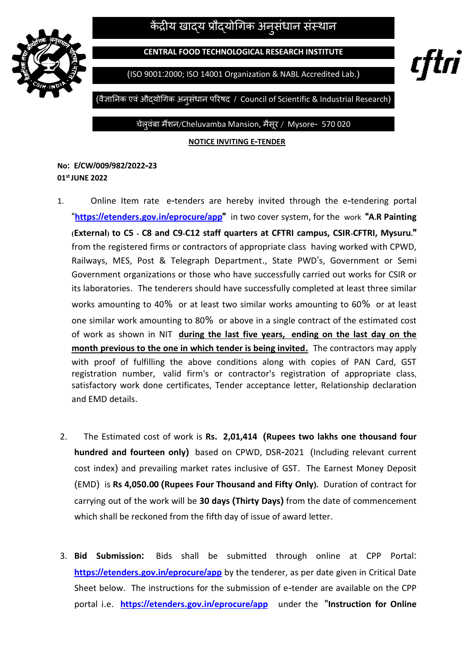केंद्रीय खाद्य प्रौद्योगिक अनुसंधान संस्थान |



**CENTRAL FOOD TECHNOLOGICAL RESEARCH INSTITUTE**

(ISO 9001:2000; ISO 14001 Organization & NABL Accredited Lab.)

rftri

(वैज्ञाननक एवंऔद्योगिक अनुसंधान परिषद / Council of Scientific & Industrial Research)

चेल्**वंबा मैंशन/Cheluvamba Mansion, मैसूर** / Mysore- 570 020

**NOTICE INVITING E-TENDER**

**No: E/CW/009/982/2022-23 01stJUNE 2022**

- 1.Online Item rate e-tenders are hereby invited through the e-tendering portal "**https://etenders.gov.in/[eprocure](https://etenders.gov.in/eprocure/app)/app"** in two cover system, for the work **"A.R Painting (External) to C5 - C8 and C9-C12 staff quarters at CFTRI campus, CSIR-CFTRI, Mysuru."**  from the registered firms or contractors of appropriate class having worked with CPWD, Railways, MES, Post & Telegraph Department., State PWD's, Government or Semi Government organizations or those who have successfully carried out works for CSIR or its laboratories. The tenderers should have successfully completed at least three similar works amounting to 40% or at least two similar works amounting to 60% or at least one similar work amounting to 80% or above in a single contract of the estimated cost of work as shown in NIT **during the last five years, ending on the last day on the month previous to the one in which tender is being invited.** The contractors may apply with proof of fulfilling the above conditions along with copies of PAN Card, GST registration number, valid firm's or contractor's registration of appropriate class, satisfactory work done certificates, Tender acceptance letter, Relationship declaration and EMD details.
- 2.The Estimated cost of work is **Rs. 2,01,414 (Rupees two lakhs one thousand four hundred and fourteen only)** based on CPWD, DSR-2021 (Including relevant current cost index) and prevailing market rates inclusive of GST. The Earnest Money Deposit (EMD) is **Rs 4,050.00 (Rupees Four Thousand and Fifty Only).** Duration of contract for carrying out of the work will be **30 days (Thirty Days)** from the date of commencement which shall be reckoned from the fifth day of issue of award letter.
- 3. **Bid Submission:** Bids shall be submitted through online at CPP Portal: **https://etenders.gov.in/[eprocure](https://etenders.gov.in/eprocure/app)/app** by the tenderer, as per date given in Critical Date Sheet below. The instructions for the submission of e-tender are available on the CPP portal i.e. **https://etenders.gov.in/[eprocure](https://etenders.gov.in/eprocure/app)/app** under the "**Instruction for Online**